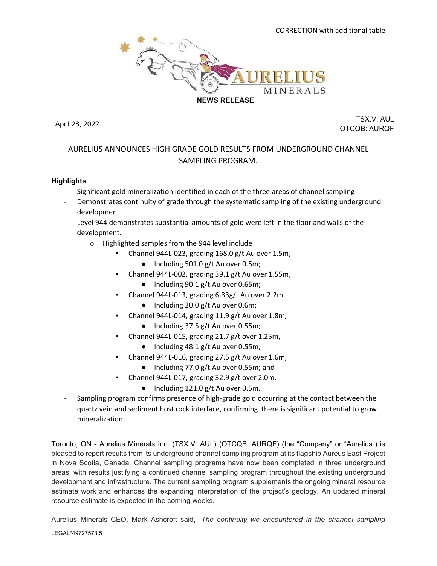CORRECTION with additional table



TSX.V: AUL<br>April 28, 2022 OTCQB: AURQF

# AURELIUS ANNOUNCES HIGH GRADE GOLD RESULTS FROM UNDERGROUND CHANNEL SAMPLING PROGRAM.

## **Highlights**

- Significant gold mineralization identified in each of the three areas of channel sampling
- Demonstrates continuity of grade through the systematic sampling of the existing underground development
- Level 944 demonstrates substantial amounts of gold were left in the floor and walls of the development.
	- o Highlighted samples from the 944 level include
		- Channel 944L-023, grading  $168.0$  g/t Au over 1.5m,
			- $\bullet$  Including 501.0 g/t Au over 0.5m;
		- Channel 944L-002, grading  $39.1$  g/t Au over 1.55m,
			- Including 90.1 g/t Au over 0.65m;
		- Channel 944L-013, grading 6.33g/t Au over 2.2m,
			- $\bullet$  Including 20.0 g/t Au over 0.6m;
		- Channel 944L-014, grading 11.9  $g/t$  Au over 1.8m,
			- $\bullet$  Including 37.5 g/t Au over 0.55m;
		- Channel 944L-015, grading 21.7 g/t over 1.25m,
			- Including 48.1 g/t Au over 0.55m;
		- Channel 944L-016, grading 27.5 g/t Au over 1.6m,
			- Including 77.0 g/t Au over 0.55m; and
		- Channel 944L-017, grading  $32.9$  g/t over 2.0m,
			- $\bullet$  Including 121.0 g/t Au over 0.5m.
- Sampling program confirms presence of high-grade gold occurring at the contact between the quartz vein and sediment host rock interface, confirming there is significant potential to grow mineralization.

Toronto, ON - Aurelius Minerals Inc. (TSX.V: AUL) (OTCQB: AURQF) (the "Company" or "Aurelius") is pleased to report results from its underground channel sampling program at its flagship Aureus East Project in Nova Scotia, Canada. Channel sampling programs have now been completed in three underground areas, with results justifying a continued channel sampling program throughout the existing underground development and infrastructure. The current sampling program supplements the ongoing mineral resource estimate work and enhances the expanding interpretation of the project's geology. An updated mineral resource estimate is expected in the coming weeks.

LEGAL\*49727573.5 Aurelius Minerals CEO, Mark Ashcroft said, *"The continuity we encountered in the channel sampling*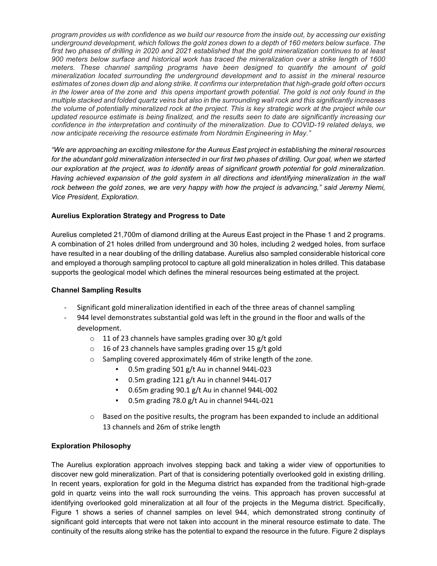*program provides us with confidence as we build our resource from the inside out, by accessing our existing underground development, which follows the gold zones down to a depth of 160 meters below surface. The first two phases of drilling in 2020 and 2021 established that the gold mineralization continues to at least 900 meters below surface and historical work has traced the mineralization over a strike length of 1600 meters. These channel sampling programs have been designed to quantify the amount of gold mineralization located surrounding the underground development and to assist in the mineral resource estimates of zones down dip and along strike. It confirms our interpretation that high-grade gold often occurs in the lower area of the zone and this opens important growth potential. The gold is not only found in the multiple stacked and folded quartz veins but also in the surrounding wall rock and this significantly increases the volume of potentially mineralized rock at the project. This is key strategic work at the project while our updated resource estimate is being finalized, and the results seen to date are significantly increasing our confidence in the interpretation and continuity of the mineralization. Due to COVID-19 related delays, we now anticipate receiving the resource estimate from Nordmin Engineering in May."* 

*"We are approaching an exciting milestone for the Aureus East project in establishing the mineral resources*  for the abundant gold mineralization intersected in our first two phases of drilling. Our goal, when we started *our exploration at the project, was to identify areas of significant growth potential for gold mineralization. Having achieved expansion of the gold system in all directions and identifying mineralization in the wall rock between the gold zones, we are very happy with how the project is advancing," said Jeremy Niemi, Vice President, Exploration.* 

# **Aurelius Exploration Strategy and Progress to Date**

Aurelius completed 21,700m of diamond drilling at the Aureus East project in the Phase 1 and 2 programs. A combination of 21 holes drilled from underground and 30 holes, including 2 wedged holes, from surface have resulted in a near doubling of the drilling database. Aurelius also sampled considerable historical core and employed a thorough sampling protocol to capture all gold mineralization in holes drilled. This database supports the geological model which defines the mineral resources being estimated at the project.

## **Channel Sampling Results**

- Significant gold mineralization identified in each of the three areas of channel sampling
- 944 level demonstrates substantial gold was left in the ground in the floor and walls of the development.
	- o 11 of 23 channels have samples grading over 30 g/t gold
	- $\circ$  16 of 23 channels have samples grading over 15 g/t gold
	- o Sampling covered approximately 46m of strike length of the zone.
		- 0.5m grading 501 g/t Au in channel 944L-023
		- 0.5m grading 121 g/t Au in channel 944L-017
		- 0.65m grading 90.1 g/t Au in channel 944L-002
		- 0.5m grading 78.0 g/t Au in channel 944L-021
	- $\circ$  Based on the positive results, the program has been expanded to include an additional 13 channels and 26m of strike length

## **Exploration Philosophy**

The Aurelius exploration approach involves stepping back and taking a wider view of opportunities to discover new gold mineralization. Part of that is considering potentially overlooked gold in existing drilling. In recent years, exploration for gold in the Meguma district has expanded from the traditional high-grade gold in quartz veins into the wall rock surrounding the veins. This approach has proven successful at identifying overlooked gold mineralization at all four of the projects in the Meguma district. Specifically, Figure 1 shows a series of channel samples on level 944, which demonstrated strong continuity of significant gold intercepts that were not taken into account in the mineral resource estimate to date. The continuity of the results along strike has the potential to expand the resource in the future. Figure 2 displays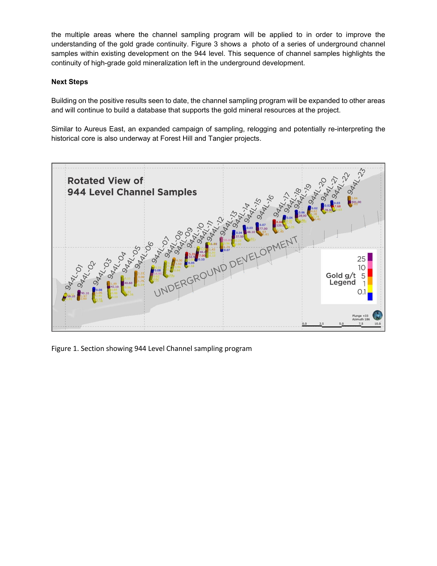the multiple areas where the channel sampling program will be applied to in order to improve the understanding of the gold grade continuity. Figure 3 shows a photo of a series of underground channel samples within existing development on the 944 level. This sequence of channel samples highlights the continuity of high-grade gold mineralization left in the underground development.

## **Next Steps**

Building on the positive results seen to date, the channel sampling program will be expanded to other areas and will continue to build a database that supports the gold mineral resources at the project.

Similar to Aureus East, an expanded campaign of sampling, relogging and potentially re-interpreting the historical core is also underway at Forest Hill and Tangier projects.



Figure 1. Section showing 944 Level Channel sampling program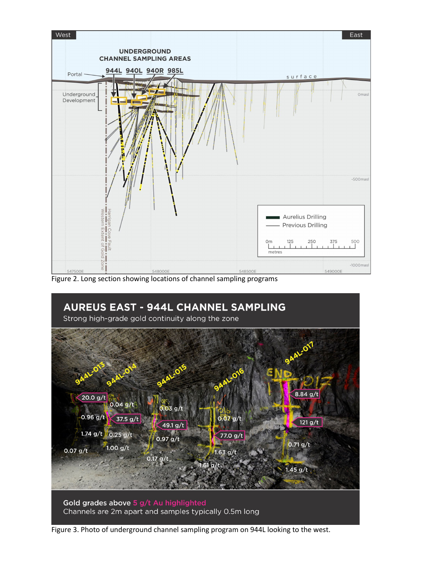

Figure 2. Long section showing locations of channel sampling programs



Figure 3. Photo of underground channel sampling program on 944L looking to the west.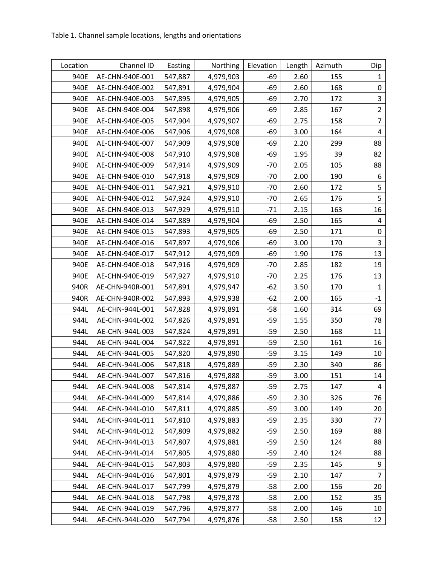| Location | Channel ID      | Easting | Northing  | Elevation | Length | Azimuth | Dip            |
|----------|-----------------|---------|-----------|-----------|--------|---------|----------------|
| 940E     | AE-CHN-940E-001 | 547,887 | 4,979,903 | $-69$     | 2.60   | 155     | 1              |
| 940E     | AE-CHN-940E-002 | 547,891 | 4,979,904 | $-69$     | 2.60   | 168     | 0              |
| 940E     | AE-CHN-940E-003 | 547,895 | 4,979,905 | $-69$     | 2.70   | 172     | 3              |
| 940E     | AE-CHN-940E-004 | 547,898 | 4,979,906 | $-69$     | 2.85   | 167     | $\overline{2}$ |
| 940E     | AE-CHN-940E-005 | 547,904 | 4,979,907 | $-69$     | 2.75   | 158     | $\overline{7}$ |
| 940E     | AE-CHN-940E-006 | 547,906 | 4,979,908 | $-69$     | 3.00   | 164     | 4              |
| 940E     | AE-CHN-940E-007 | 547,909 | 4,979,908 | $-69$     | 2.20   | 299     | 88             |
| 940E     | AE-CHN-940E-008 | 547,910 | 4,979,908 | $-69$     | 1.95   | 39      | 82             |
| 940E     | AE-CHN-940E-009 | 547,914 | 4,979,909 | $-70$     | 2.05   | 105     | 88             |
| 940E     | AE-CHN-940E-010 | 547,918 | 4,979,909 | $-70$     | 2.00   | 190     | 6              |
| 940E     | AE-CHN-940E-011 | 547,921 | 4,979,910 | $-70$     | 2.60   | 172     | 5              |
| 940E     | AE-CHN-940E-012 | 547,924 | 4,979,910 | $-70$     | 2.65   | 176     | 5              |
| 940E     | AE-CHN-940E-013 | 547,929 | 4,979,910 | $-71$     | 2.15   | 163     | 16             |
| 940E     | AE-CHN-940E-014 | 547,889 | 4,979,904 | $-69$     | 2.50   | 165     | 4              |
| 940E     | AE-CHN-940E-015 | 547,893 | 4,979,905 | $-69$     | 2.50   | 171     | 0              |
| 940E     | AE-CHN-940E-016 | 547,897 | 4,979,906 | $-69$     | 3.00   | 170     | 3              |
| 940E     | AE-CHN-940E-017 | 547,912 | 4,979,909 | $-69$     | 1.90   | 176     | 13             |
| 940E     | AE-CHN-940E-018 | 547,916 | 4,979,909 | $-70$     | 2.85   | 182     | 19             |
| 940E     | AE-CHN-940E-019 | 547,927 | 4,979,910 | -70       | 2.25   | 176     | 13             |
| 940R     | AE-CHN-940R-001 | 547,891 | 4,979,947 | $-62$     | 3.50   | 170     | $\mathbf{1}$   |
| 940R     | AE-CHN-940R-002 | 547,893 | 4,979,938 | $-62$     | 2.00   | 165     | $-1$           |
| 944L     | AE-CHN-944L-001 | 547,828 | 4,979,891 | $-58$     | 1.60   | 314     | 69             |
| 944L     | AE-CHN-944L-002 | 547,826 | 4,979,891 | $-59$     | 1.55   | 350     | 78             |
| 944L     | AE-CHN-944L-003 | 547,824 | 4,979,891 | $-59$     | 2.50   | 168     | 11             |
| 944L     | AE-CHN-944L-004 | 547,822 | 4,979,891 | $-59$     | 2.50   | 161     | 16             |
| 944L     | AE-CHN-944L-005 | 547,820 | 4,979,890 | $-59$     | 3.15   | 149     | 10             |
| 944L     | AE-CHN-944L-006 | 547,818 | 4,979,889 | $-59$     | 2.30   | 340     | 86             |
| 944L     | AE-CHN-944L-007 | 547,816 | 4,979,888 | $-59$     | 3.00   | 151     | 14             |
| 944L     | AE-CHN-944L-008 | 547,814 | 4,979,887 | $-59$     | 2.75   | 147     | 4              |
| 944L     | AE-CHN-944L-009 | 547,814 | 4,979,886 | $-59$     | 2.30   | 326     | 76             |
| 944L     | AE-CHN-944L-010 | 547,811 | 4,979,885 | $-59$     | 3.00   | 149     | 20             |
| 944L     | AE-CHN-944L-011 | 547,810 | 4,979,883 | $-59$     | 2.35   | 330     | 77             |
| 944L     | AE-CHN-944L-012 | 547,809 | 4,979,882 | $-59$     | 2.50   | 169     | 88             |
| 944L     | AE-CHN-944L-013 | 547,807 | 4,979,881 | $-59$     | 2.50   | 124     | 88             |
| 944L     | AE-CHN-944L-014 | 547,805 | 4,979,880 | $-59$     | 2.40   | 124     | 88             |
| 944L     | AE-CHN-944L-015 | 547,803 | 4,979,880 | $-59$     | 2.35   | 145     | 9              |
| 944L     | AE-CHN-944L-016 | 547,801 | 4,979,879 | $-59$     | 2.10   | 147     | $\overline{7}$ |
| 944L     | AE-CHN-944L-017 | 547,799 | 4,979,879 | $-58$     | 2.00   | 156     | 20             |
| 944L     | AE-CHN-944L-018 | 547,798 | 4,979,878 | $-58$     | 2.00   | 152     | 35             |
| 944L     | AE-CHN-944L-019 | 547,796 | 4,979,877 | $-58$     | 2.00   | 146     | 10             |
| 944L     | AE-CHN-944L-020 | 547,794 | 4,979,876 | $-58$     | 2.50   | 158     | 12             |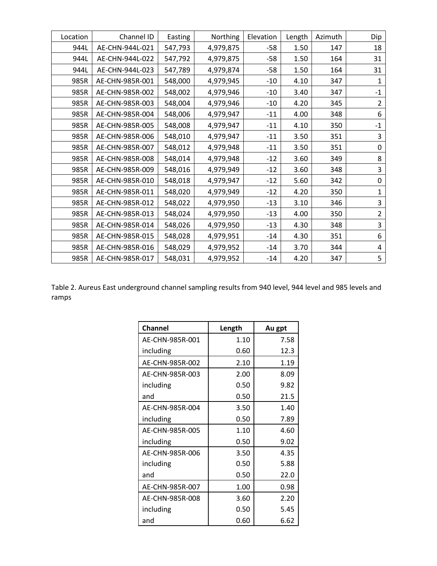| Location | Channel ID      | Easting | Northing  | Elevation | Length | Azimuth | Dip            |
|----------|-----------------|---------|-----------|-----------|--------|---------|----------------|
| 944L     | AE-CHN-944L-021 | 547,793 | 4,979,875 | $-58$     | 1.50   | 147     | 18             |
| 944L     | AE-CHN-944L-022 | 547,792 | 4,979,875 | $-58$     | 1.50   | 164     | 31             |
| 944L     | AE-CHN-944L-023 | 547,789 | 4,979,874 | $-58$     | 1.50   | 164     | 31             |
| 985R     | AE-CHN-985R-001 | 548,000 | 4,979,945 | $-10$     | 4.10   | 347     | 1              |
| 985R     | AE-CHN-985R-002 | 548,002 | 4,979,946 | $-10$     | 3.40   | 347     | $-1$           |
| 985R     | AE-CHN-985R-003 | 548,004 | 4,979,946 | $-10$     | 4.20   | 345     | $\overline{2}$ |
| 985R     | AE-CHN-985R-004 | 548,006 | 4,979,947 | $-11$     | 4.00   | 348     | 6              |
| 985R     | AE-CHN-985R-005 | 548,008 | 4,979,947 | $-11$     | 4.10   | 350     | $-1$           |
| 985R     | AE-CHN-985R-006 | 548,010 | 4,979,947 | $-11$     | 3.50   | 351     | 3              |
| 985R     | AE-CHN-985R-007 | 548,012 | 4,979,948 | $-11$     | 3.50   | 351     | 0              |
| 985R     | AE-CHN-985R-008 | 548,014 | 4,979,948 | $-12$     | 3.60   | 349     | 8              |
| 985R     | AE-CHN-985R-009 | 548,016 | 4,979,949 | $-12$     | 3.60   | 348     | 3              |
| 985R     | AE-CHN-985R-010 | 548,018 | 4,979,947 | $-12$     | 5.60   | 342     | 0              |
| 985R     | AE-CHN-985R-011 | 548,020 | 4,979,949 | $-12$     | 4.20   | 350     | 1              |
| 985R     | AE-CHN-985R-012 | 548,022 | 4,979,950 | $-13$     | 3.10   | 346     | 3              |
| 985R     | AE-CHN-985R-013 | 548,024 | 4,979,950 | $-13$     | 4.00   | 350     | $\overline{2}$ |
| 985R     | AE-CHN-985R-014 | 548,026 | 4,979,950 | $-13$     | 4.30   | 348     | 3              |
| 985R     | AE-CHN-985R-015 | 548,028 | 4,979,951 | $-14$     | 4.30   | 351     | 6              |
| 985R     | AE-CHN-985R-016 | 548,029 | 4,979,952 | $-14$     | 3.70   | 344     | 4              |
| 985R     | AE-CHN-985R-017 | 548,031 | 4,979,952 | $-14$     | 4.20   | 347     | 5              |

Table 2. Aureus East underground channel sampling results from 940 level, 944 level and 985 levels and ramps

| Channel         | Length | Au gpt |
|-----------------|--------|--------|
| AE-CHN-985R-001 | 1.10   | 7.58   |
| including       | 0.60   | 12.3   |
| AE-CHN-985R-002 | 2.10   | 1.19   |
| AE-CHN-985R-003 | 2.00   | 8.09   |
| including       | 0.50   | 9.82   |
| and             | 0.50   | 21.5   |
| AE-CHN-985R-004 | 3.50   | 1.40   |
| including       | 0.50   | 7.89   |
| AE-CHN-985R-005 | 1.10   | 4.60   |
| including       | 0.50   | 9.02   |
| AE-CHN-985R-006 | 3.50   | 4.35   |
| including       | 0.50   | 5.88   |
| and             | 0.50   | 22.0   |
| AE-CHN-985R-007 | 1.00   | 0.98   |
| AE-CHN-985R-008 | 3.60   | 2.20   |
| including       | 0.50   | 5.45   |
| and             | 0.60   | 6.62   |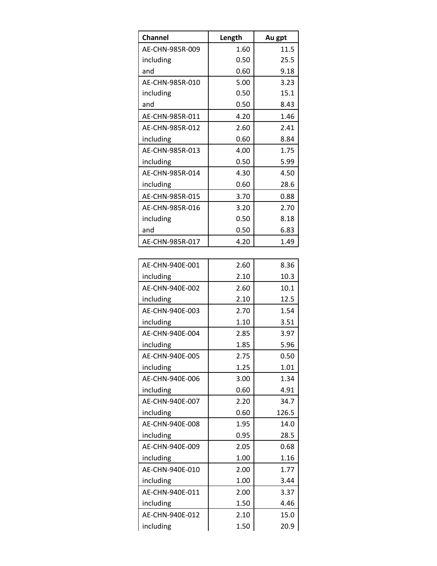| Channel         | Length | Au gpt |
|-----------------|--------|--------|
| AE-CHN-985R-009 | 1.60   | 11.5   |
| including       | 0.50   | 25.5   |
| and             | 0.60   | 9.18   |
| AE-CHN-985R-010 | 5.00   | 3.23   |
| including       | 0.50   | 15.1   |
| and             | 0.50   | 8.43   |
| AE-CHN-985R-011 | 4.20   | 1.46   |
| AE-CHN-985R-012 | 2.60   | 2.41   |
| including       | 0.60   | 8.84   |
| AE-CHN-985R-013 | 4.00   | 1.75   |
| including       | 0.50   | 5.99   |
| AF-CHN-985R-014 | 4.30   | 4.50   |
| including       | 0.60   | 28.6   |
| AE-CHN-985R-015 | 3.70   | 0.88   |
| AE-CHN-985R-016 | 3.20   | 2.70   |
| including       | 0.50   | 8.18   |
| and             | 0.50   | 6.83   |
| AE-CHN-985R-017 | 4.20   | 1.49   |

| AE-CHN-940E-001 | 2.60 | 8.36  |
|-----------------|------|-------|
| including       | 2.10 | 10.3  |
| AE-CHN-940E-002 | 2.60 | 10.1  |
| including       | 2.10 | 12.5  |
| AE-CHN-940E-003 | 2.70 | 1.54  |
| including       | 1.10 | 3.51  |
| AE-CHN-940E-004 | 2.85 | 3.97  |
| including       | 1.85 | 5.96  |
| AE-CHN-940E-005 | 2.75 | 0.50  |
| including       | 1.25 | 1.01  |
| AE-CHN-940E-006 | 3.00 | 1.34  |
| including       | 0.60 | 4.91  |
| AE-CHN-940E-007 | 2.20 | 34.7  |
| including       | 0.60 | 126.5 |
| AE-CHN-940E-008 | 1.95 | 14.0  |
| including       | 0.95 | 28.5  |
| AE-CHN-940E-009 | 2.05 | 0.68  |
| including       | 1.00 | 1.16  |
| AE-CHN-940E-010 | 2.00 | 1.77  |
| including       | 1.00 | 3.44  |
| AE-CHN-940E-011 | 2.00 | 3.37  |
| including       | 1.50 | 4.46  |
| AE-CHN-940E-012 | 2.10 | 15.0  |
| including       | 1.50 | 20.9  |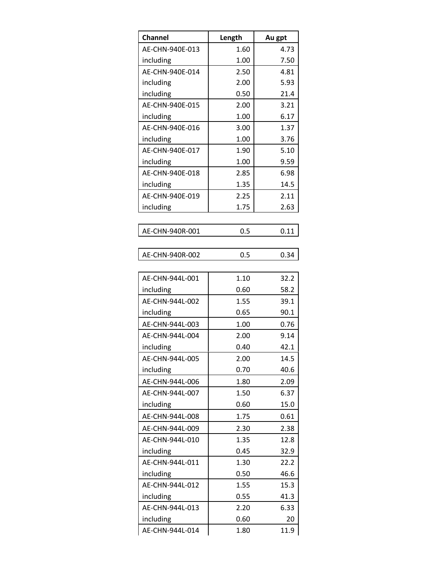| <b>Channel</b>               | Length | Au gpt |
|------------------------------|--------|--------|
| AE-CHN-940E-013              | 1.60   | 4.73   |
| including                    | 1.00   | 7.50   |
| AE-CHN-940E-014              | 2.50   | 4.81   |
| including                    | 2.00   | 5.93   |
| including                    | 0.50   | 21.4   |
| AE-CHN-940E-015              | 2.00   | 3.21   |
| including                    | 1.00   | 6.17   |
| AE-CHN-940E-016              | 3.00   | 1.37   |
| including                    | 1.00   | 3.76   |
| AE-CHN-940E-017              | 1.90   | 5.10   |
| including                    | 1.00   | 9.59   |
| AE-CHN-940E-018              | 2.85   | 6.98   |
| including                    | 1.35   | 14.5   |
| AE-CHN-940E-019              | 2.25   | 2.11   |
| including                    | 1.75   | 2.63   |
| AE-CHN-940R-001              | 0.5    | 0.11   |
|                              |        |        |
| AE-CHN-940R-002              | 0.5    | 0.34   |
| AE-CHN-944L-001              | 1.10   | 32.2   |
| including                    | 0.60   | 58.2   |
| AE-CHN-944L-002              | 1.55   | 39.1   |
| including                    | 0.65   | 90.1   |
| AE-CHN-944L-003              | 1.00   | 0.76   |
| AE-CHN-944L-004              | 2.00   | 9.14   |
| including                    | 0.40   | 42.1   |
| AE-CHN-944L-005              | 2.00   | 14.5   |
| including                    | 0.70   | 40.6   |
| AE-CHN-944L-006              | 1.80   | 2.09   |
| AE-CHN-944L-007              | 1.50   | 6.37   |
| including                    | 0.60   | 15.0   |
| AE-CHN-944L-008              | 1.75   | 0.61   |
| AE-CHN-944L-009              | 2.30   | 2.38   |
| AE-CHN-944L-010              | 1.35   | 12.8   |
| including                    | 0.45   | 32.9   |
| AE-CHN-944L-011              | 1.30   | 22.2   |
| including                    | 0.50   | 46.6   |
| AE-CHN-944L-012              | 1.55   | 15.3   |
| including                    | 0.55   | 41.3   |
|                              |        |        |
|                              | 2.20   | 6.33   |
| AE-CHN-944L-013<br>including | 0.60   | 20     |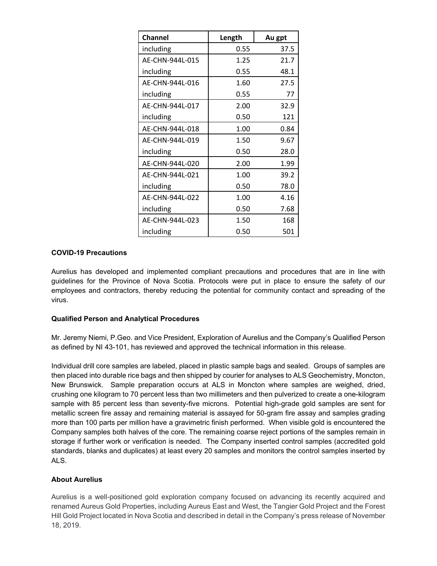| Channel         | Length | Au gpt |
|-----------------|--------|--------|
| including       | 0.55   | 37.5   |
| AE-CHN-944L-015 | 1.25   | 21.7   |
| including       | 0.55   | 48.1   |
| AE-CHN-944L-016 | 1.60   | 27.5   |
| including       | 0.55   | 77     |
| AE-CHN-944L-017 | 2.00   | 32.9   |
| including       | 0.50   | 121    |
| AE-CHN-944L-018 | 1.00   | 0.84   |
| AE-CHN-944L-019 | 1.50   | 9.67   |
| including       | 0.50   | 28.0   |
| AE-CHN-944L-020 | 2.00   | 1.99   |
| AE-CHN-944L-021 | 1.00   | 39.2   |
| including       | 0.50   | 78.0   |
| AF-CHN-944L-022 | 1.00   | 4.16   |
| including       | 0.50   | 7.68   |
| AE-CHN-944L-023 | 1.50   | 168    |
| including       | 0.50   | 501    |

## **COVID-19 Precautions**

Aurelius has developed and implemented compliant precautions and procedures that are in line with guidelines for the Province of Nova Scotia. Protocols were put in place to ensure the safety of our employees and contractors, thereby reducing the potential for community contact and spreading of the virus.

#### **Qualified Person and Analytical Procedures**

Mr. Jeremy Niemi, P.Geo. and Vice President, Exploration of Aurelius and the Company's Qualified Person as defined by NI 43-101, has reviewed and approved the technical information in this release.

Individual drill core samples are labeled, placed in plastic sample bags and sealed. Groups of samples are then placed into durable rice bags and then shipped by courier for analyses to ALS Geochemistry, Moncton, New Brunswick. Sample preparation occurs at ALS in Moncton where samples are weighed, dried, crushing one kilogram to 70 percent less than two millimeters and then pulverized to create a one-kilogram sample with 85 percent less than seventy-five microns. Potential high-grade gold samples are sent for metallic screen fire assay and remaining material is assayed for 50-gram fire assay and samples grading more than 100 parts per million have a gravimetric finish performed. When visible gold is encountered the Company samples both halves of the core. The remaining coarse reject portions of the samples remain in storage if further work or verification is needed. The Company inserted control samples (accredited gold standards, blanks and duplicates) at least every 20 samples and monitors the control samples inserted by ALS.

## **About Aurelius**

Aurelius is a well-positioned gold exploration company focused on advancing its recently acquired and renamed Aureus Gold Properties, including Aureus East and West, the Tangier Gold Project and the Forest Hill Gold Project located in Nova Scotia and described in detail in the Company's press release of November 18, 2019.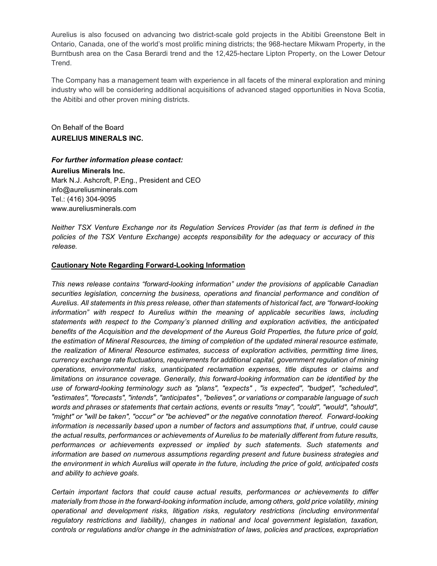Aurelius is also focused on advancing two district-scale gold projects in the Abitibi Greenstone Belt in Ontario, Canada, one of the world's most prolific mining districts; the 968-hectare Mikwam Property, in the Burntbush area on the Casa Berardi trend and the 12,425-hectare Lipton Property, on the Lower Detour Trend.

The Company has a management team with experience in all facets of the mineral exploration and mining industry who will be considering additional acquisitions of advanced staged opportunities in Nova Scotia, the Abitibi and other proven mining districts.

On Behalf of the Board **AURELIUS MINERALS INC.**

#### *For further information please contact:*

**Aurelius Minerals Inc.** Mark N.J. Ashcroft, P.Eng., President and CEO info@aureliusminerals.com Tel.: (416) 304-9095 www.aureliusminerals.com

*Neither TSX Venture Exchange nor its Regulation Services Provider (as that term is defined in the policies of the TSX Venture Exchange) accepts responsibility for the adequacy or accuracy of this release.*

#### **Cautionary Note Regarding Forward-Looking Information**

*This news release contains "forward-looking information" under the provisions of applicable Canadian securities legislation, concerning the business, operations and financial performance and condition of Aurelius. All statements in this press release, other than statements of historical fact, are "forward-looking information" with respect to Aurelius within the meaning of applicable securities laws, including statements with respect to the Company's planned drilling and exploration activities, the anticipated benefits of the Acquisition and the development of the Aureus Gold Properties, the future price of gold, the estimation of Mineral Resources, the timing of completion of the updated mineral resource estimate, the realization of Mineral Resource estimates, success of exploration activities, permitting time lines, currency exchange rate fluctuations, requirements for additional capital, government regulation of mining operations, environmental risks, unanticipated reclamation expenses, title disputes or claims and limitations on insurance coverage. Generally, this forward-looking information can be identified by the use of forward-looking terminology such as "plans", "expects" , "is expected", "budget", "scheduled", "estimates", "forecasts", "intends", "anticipates" , "believes", or variations or comparable language of such words and phrases or statements that certain actions, events or results "may", "could", "would", "should", "might" or "will be taken", "occur" or "be achieved" or the negative connotation thereof. Forward-looking information is necessarily based upon a number of factors and assumptions that, if untrue, could cause the actual results, performances or achievements of Aurelius to be materially different from future results, performances or achievements expressed or implied by such statements. Such statements and information are based on numerous assumptions regarding present and future business strategies and the environment in which Aurelius will operate in the future, including the price of gold, anticipated costs and ability to achieve goals.* 

*Certain important factors that could cause actual results, performances or achievements to differ materially from those in the forward-looking information include, among others, gold price volatility, mining operational and development risks, litigation risks, regulatory restrictions (including environmental*  regulatory restrictions and liability), changes in national and local government legislation, taxation, *controls or regulations and/or change in the administration of laws, policies and practices, expropriation*